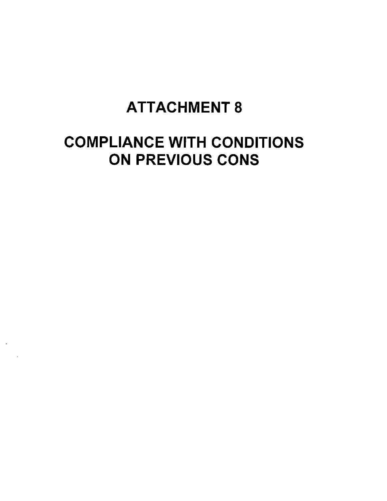# ATTACHMENT 8

# COMPLIANCE WITH CONDITIONS ON PREVIOUS CONS

 $\mathcal{A}$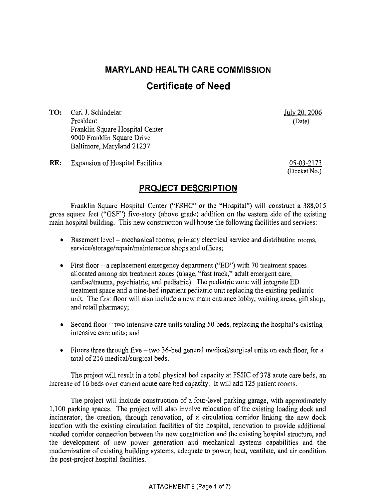## **MARYLAND HEALTH CARE COMMISSION Certificate of Need**

TO: Carl J. Schindelar President Franklin Square Hospital Center 9000 Franklin Square Drive Baltimore, Maryland 21237

July 20, 2006 (Date)

RE: Expansion of Hospital Facilities

05-03-2173 (Docket No.)

### **PROJECT DESCRIPTION**

Franklin Square Hospital Center ("FSHC" or the "Hospital") will construct a 388,015 gross square feet ("GSF") five-story (above grade) addition on the eastern side of the existing main hospital building. This new construction will house the following facilities and services:

- Basement level mechanical rooms, primary electrical service and distribution rooms, service/storage/repair/maintenance shops and offices;
- **o** First floor- a replacement emergency department ("ED") with 70 treatment spaces allocated among six treatment zones (triage, "fast track," adult emergent care, cardiac/trauma, psychiatric, and pediatric). The pediatric zone will integrate ED treatment space and a nine-bed inpatient pediatric unit replacing the existing pediatric unit. The first floor will also include a new main entrance lobby, waiting areas, gift shop, and retail pharmacy;
- Second floor two intensive care units totaling 50 beds, replacing the hospital's existing intensive care units; and
- Floors three through five two 36-bed general medical/surgical units on each floor, for a total of216 medical/surgical beds.

The project will result in a total physical bed capacity at FSHC of 378 acute care beds, an increase of 16 beds over current acute care bed capacity. It will add 125 patient rooms.

The project will include construction of a four-level parking garage, with approximately 1,100 parking spaces. The project will also involve relocation of the existing loading dock and incinerator, the creation, through renovation, of a circulation corridor linking the new dock location with the existing circulation facilities of the hospital, renovation to provide additional needed corridor connection between the new construction and the existing hospital structure, and the development of new power generation and mechanical systems capabilities and the modernization of existing building systems, adequate to power, heat, ventilate, and air condition the post-project hospital facilities.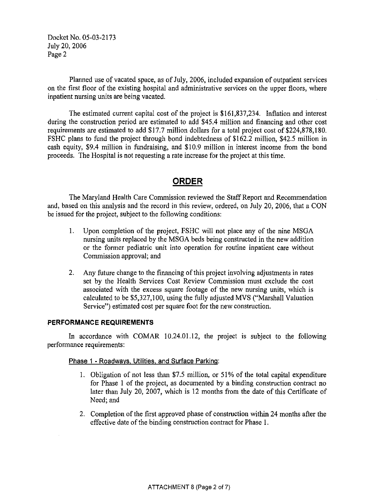Docket No. 05-03-2173 July 20, 2006 Page 2

Planned use of vacated space, as of July, 2006, included expansion of outpatient services on the first floor of the existing hospital and administrative services on the upper floors, where inpatient nursing units are being vacated.

The estimated current capital cost of the project is \$161,837,234. Inflation and interest during the construction period are estimated to add \$45.4 million and financing and other cost requirements are estimated to add \$17.7 million dollars for a total project cost of \$224,878,180. FSHC plans to fund the project through bond indebtedness of \$162.2 million, \$42.5 million in cash equity, \$9.4 million in fundraising, and \$10.9 million in interest income from the bond proceeds. The Hospital is not requesting a rate increase for the project at this time.

### **ORDER**

The Maryland Health Care Commission reviewed the Staff Report and Recommendation and, based on this analysis and the record in this review, ordered, on July 20, 2006, that a CON be issued for the project, subject to the following conditions:

- 1. Upon completion of the project, FSHC will not place any of the nine MSGA nursing units replaced by the MSGA beds being constructed in the new addition or the former pediatric unit into operation for routine inpatient care without Commission approval; and
- 2. Any future change to the financing of this project involving adjustments in rates set by the Health Services Cost Review Commission must exclude the cost associated with the excess square footage of the new nursing units, which is calculated to be \$5,327,100, using the fully adjusted MVS ("Marshall Valuation Service") estimated cost per square foot for the new construction.

#### **PERFORMANCE REQUIREMENTS**

In accordance with COMAR 10.24.01.12, the project is subject to the following performance requirements:

#### Phase 1 - Roadways. Utilities. and Surface Parking:

- I. Obligation of not less than \$7.5 million, or 51% of the total capital expenditure for Phase 1 of the project, as documented by a binding construction contract no later than July 20, 2007, which is 12 months from the date of this Certificate of Need; and
- 2. Completion of the first approved phase of construction within 24 months after the effective date of the binding construction contract for Phase 1.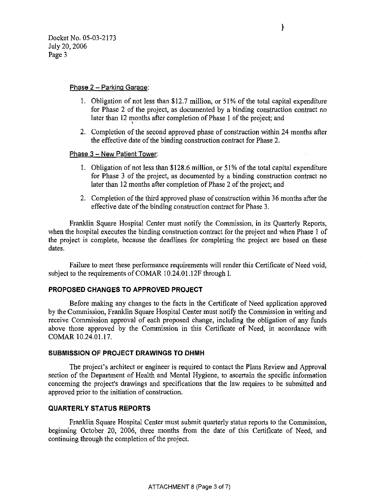#### Phase  $2$  - Parking Garage:

- l. Obligation of not less than \$12.7 million, or 51% of the total capital expenditure for Phase 2 of the project, as documented by a binding construction contract no later than 12 months after completion of Phase 1 of the project; and
- 2. Completion of the second approved phase of construction within 24 months after the effective date of the binding construction contract for Phase 2.

#### Phase 3 - New Patient Tower:

- l. Obligation of not less than \$128.6 million, or 51% of the total capital expenditure for Phase 3 of the project, as documented by a binding construction contract no later than 12 months after completion of Phase 2 of the project; and
- 2. Completion of the third approved phase of construction within 36 months after the effective date of the binding construction contract for Phase 3.

Franklin Square Hospital Center must notify the Commission, in its Quarterly Reports, when the hospital executes the binding construction contract for the project and when Phase I of the project is complete, because the deadlines for completing the project are based on these dates.

Failure to meet these performance requirements will render this Certificate of Need void, subject to the requirements of COMAR 10.24.01.12F through I.

#### **PROPOSED CHANGES TO APPROVED PROJECT**

Before making any changes to the facts in the Certificate of Need application approved by the Commission, Franklin Square Hospital Center must notify the Commission in writing and receive Commission approval of each proposed change, including the obligation of any funds above those approved by the Commission in this Certificate of Need, in accordance with COMAR 10.24.01.17.

#### **SUBMISSION OF PROJECT DRAWINGS TO DHMH**

The project's architect or engineer is required to contact the Plans Review and Approval section of the Department of Health and Mental Hygiene, to ascertain the specific information concerning the project's drawings and specifications that the law requires to be submitted and approved prior to the initiation of construction.

#### **QUARTERLY STATUS REPORTS**

Franklin Square Hospital Center must submit quarterly status reports to the Commission, beginning October 20, 2006, three months from the date of this Certificate of Need, and continuing through the completion of the project.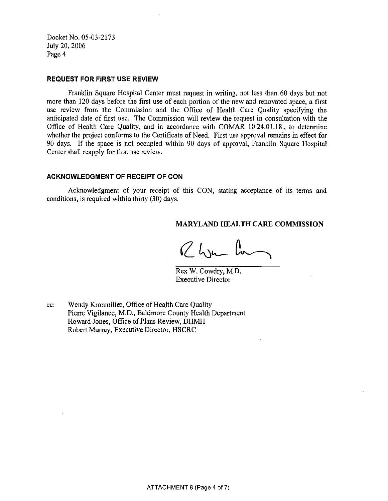Docket No. 05-03-2173 July 20, 2006 Page 4

#### **REQUEST FOR FIRST USE REVIEW**

Franklin Square Hospital Center must request in writing, not less than 60 days but not more than 120 days before the first use of each portion of the new and renovated space, a first use review from the Commission and the Office of Health Care Quality specifying the anticipated date of first use. The Commission will review the request in consultation with the Office of Health Care Quality, and in accordance with COMAR 10.24.01.18., to determine whether the project conforms to the Certificate of Need. First use approval remains in effect for 90 days. If the space is not occupied within 90 days of approval, Franklin Square Hospital Center shall reapply for first use review.

#### **ACKNOWLEDGMENT OF RECEIPT OF CON**

Acknowledgment of your receipt of this CON, stating acceptance of its terms and conditions, is required within thirty (30) days.

#### **MARYLAND HEALTH CARE COMMISSION**

Rhym la

Rex W. Cowdry, M.D. Executive Director

cc: Wendy Kronmiller, Office of Health Care Quality Pierre Vigilance, M.D., Baltimore County Health Department Howard Jones, Office of Plans Review, DHMH Robert Murray, Executive Director, HSCRC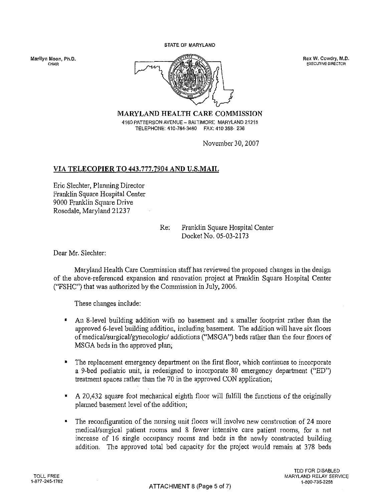STATE OF MARYLAND

**CHAIR** 



**EXECUTIVE DIRECTOR** 

MARYLAND HEALTH CARE COMMISSION 4160 PATTERSON AVENUE - BALTIMORE MARYLAND 21215 TELEPHONE: 410-764-3460 FAX: 410 358- 236

November 30, 2007

#### VIA TELECOPIER TO 443.777.7904 AND U.S.MAIL

Eric Slechter, Planning Director Franklin Square Hospital Center 9000 Franklin Square Drive Rosedale, Maryland 21237

> Re: Franklin Square Hospital Center Docket No. 05-03-2173

Dear Mr. Slechter:

Maryland Health Care Commission staff has reviewed the proposed changes in the design of the above-referenced expansion and renovation project at Franklin Square Hospital Center ("FSHC") that was authorized by the Commission in July, 2006.

These changes include:

- An 8-level building addition with no basement and a smaller footprint rather than the approved 6-level building addition, including basement. The addition will have six floors of medical/surgical/gynecologic/ addictions ("MSGA") beds rather than the four floors of MSGA beds in the approved plan;
- The replacement emergency department on the first floor, which continues to incorporate a 9-bed pediatric unit, is redesigned to incorporate 80 emergency depmiment ("ED") treatment spaces rather than the 70 in the approved CON application;
- A 20,432 square foot mechanical eighth floor will fulfill the functions of the originally planned basement level of the addition;
- The reconfiguration of the nursing unit floors will involve new construction of 24 more medical/surgical patient rooms and 8 fewer intensive care patient rooms, for a net increase of 16 single occupancy rooms and beds in the newly constructed building addition. The approved total bed capacity for the project would remain at 378 beds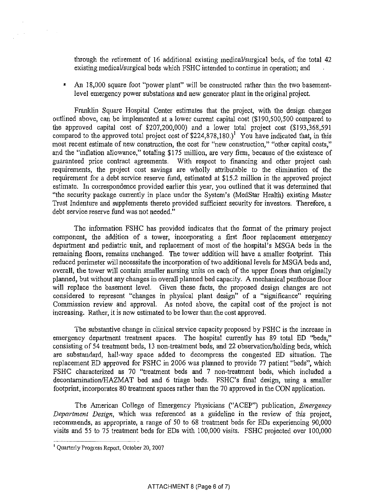through the retirement of 16 additional existing medical/surgical beds, of the total 42 existing medicaVsurgical beds which FSHC intended to continue in operation; and

• An 18,000 square foot "power plant" will be constructed rather than the two basementlevel emergency power substations and new generator plant in the original project.

Franklin Square Hospital Center estimates that the project, with the design changes outlined above, can be implemented at a lower current capital cost (\$190,500,500 compared to the approved capital cost of \$207,200,000) and a lower total project cost (\$193,368,591 compared to the approved total project cost of  $$224,878,180.$ <sup>1</sup> You have indicated that, in this most recent estimate of new construction, the cost for "new construction," "other capital costs," and the "inflation allowance," totaling \$175 million, are very firm, because of the existence of guaranteed price contract agreements. With respect to financing and other project cash requirements, the project cost savings are wholly attributable to the elimination of the requirement for a debt service reserve fund, estimated at \$15.2 million in the approved project estimate. In correspondence provided earlier this year, you outlined that it was determined that "the security package currently in place under the System's (MedStar Health) existing Master Trust Indenture and supplements thereto provided sufficient security for investors. Therefore, a debt service reserve fund was not needed."

The information FSHC has provided indicates that the format of the primary project component, the addition of a tower, incorporating a first floor replacement emergency department and pediatric unit, and replacement of most of the hospital's MSGA beds in the remaining floors, remains unchanged. The tower addition will have a smaller footprint. This reduced perimeter will necessitate the incorporation of two additional levels for MSGA beds and, overall, the tower will contain smaller nursing units on each of the upper floors than originally plarmed, but without any changes in overall planned bed capacity. A mechanical penthouse floor will replace the basement level. Given these facts, the proposed design changes are not considered to represent "changes in physical plant design" of a "significance" requiring Commission review and approval. As noted above, the capital cost of the project is not increasing. Rather, it is now estimated to be lower than the cost approved.

The substantive change in clinical service capacity proposed by FSHC is the increase in emergency department treatment spaces. The hospital currently has 89 total ED "beds," consisting of 54 treatment beds, 13 non-treatment beds, and 22 observation/holding beds, which are substandard, hall-way space added to decompress the congested ED situation. The replacement ED approved for FSHC in 2006 was planned to provide 77 patient "beds", which FSHC characterized as 70 "treatment beds and 7 non-treatment beds, which included a decontamination/HAZMAT bed and 6 triage beds. FSHC's final design, using a smaller footprint, incorporates 80 treatment spaces rather than the 70 approved in the CON application.

The American College of Emergency Physicians ("ACEP") publication, *Emergency Department Design,* which was referenced as a guideline in the review of this project, recommends, as appropriate, a range of 50 to 68 treatment beds for EDs experiencing 90,000 visits and 55 to 75 treatment beds for EDs with 100,000 visits. FSHC projected over 100,000

 $\sim 10^{11}$ 

 $\frac{1}{2} \left( \frac{1}{2} \right)$ 

<sup>1</sup> Quarterly Progress Report, October 20, 2007